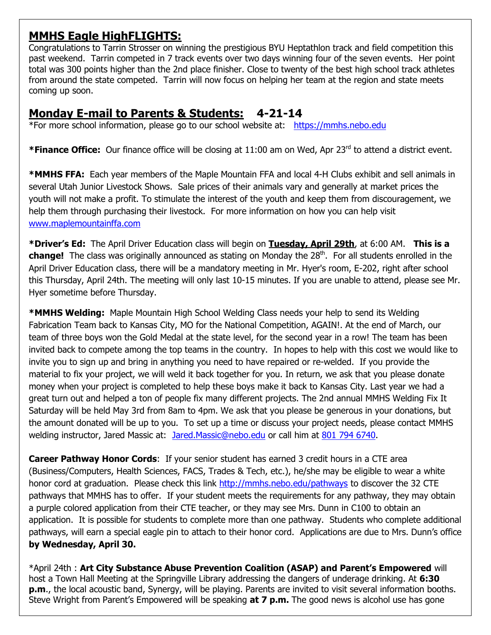## **MMHS Eagle HighFLIGHTS:**

Congratulations to Tarrin Strosser on winning the prestigious BYU Heptathlon track and field competition this past weekend. Tarrin competed in 7 track events over two days winning four of the seven events. Her point total was 300 points higher than the 2nd place finisher. Close to twenty of the best high school track athletes from around the state competed. Tarrin will now focus on helping her team at the region and state meets coming up soon.

# **Monday E-mail to Parents & Students: 4-21-14**

\*For more school information, please go to our school website at: [https://mmhs.nebo.edu](https://mmhs.nebo.edu/)

**\*Finance Office:** Our finance office will be closing at 11:00 am on Wed, Apr 23rd to attend a district event.

**\*MMHS FFA:** Each year members of the Maple Mountain FFA and local 4-H Clubs exhibit and sell animals in several Utah Junior Livestock Shows. Sale prices of their animals vary and generally at market prices the youth will not make a profit. To stimulate the interest of the youth and keep them from discouragement, we help them through purchasing their livestock. For more information on how you can help visit [www.maplemountainffa.com](http://www.maplemountainffa.com/)

**\*Driver's Ed:** The April Driver Education class will begin on **Tuesday, April 29th**, at 6:00 AM. **This is a**  change! The class was originally announced as stating on Monday the 28<sup>th</sup>. For all students enrolled in the April Driver Education class, there will be a mandatory meeting in Mr. Hyer's room, E-202, right after school this Thursday, April 24th. The meeting will only last 10-15 minutes. If you are unable to attend, please see Mr. Hyer sometime before Thursday.

**\*MMHS Welding:** Maple Mountain High School Welding Class needs your help to send its Welding Fabrication Team back to Kansas City, MO for the National Competition, AGAIN!. At the end of March, our team of three boys won the Gold Medal at the state level, for the second year in a row! The team has been invited back to compete among the top teams in the country. In hopes to help with this cost we would like to invite you to sign up and bring in anything you need to have repaired or re-welded. If you provide the material to fix your project, we will weld it back together for you. In return, we ask that you please donate money when your project is completed to help these boys make it back to Kansas City. Last year we had a great turn out and helped a ton of people fix many different projects. The 2nd annual MMHS Welding Fix It Saturday will be held May 3rd from 8am to 4pm. We ask that you please be generous in your donations, but the amount donated will be up to you. To set up a time or discuss your project needs, please contact MMHS welding instructor, Jared Massic at: [Jared.Massic@nebo.edu](mailto:Jared.Massic@nebo.edu) or call him at [801 794 6740.](tel:801%20794%206740)

**Career Pathway Honor Cords:** If your senior student has earned 3 credit hours in a CTE area (Business/Computers, Health Sciences, FACS, Trades & Tech, etc.), he/she may be eligible to wear a white honor cord at graduation. Please check this link<http://mmhs.nebo.edu/pathways> to discover the 32 CTE pathways that MMHS has to offer. If your student meets the requirements for any pathway, they may obtain a purple colored application from their CTE teacher, or they may see Mrs. Dunn in C100 to obtain an application. It is possible for students to complete more than one pathway. Students who complete additional pathways, will earn a special eagle pin to attach to their honor cord. Applications are due to Mrs. Dunn's office **by Wednesday, April 30.**

\*April 24th : **Art City Substance Abuse Prevention Coalition (ASAP) and Parent's Empowered** will host a Town Hall Meeting at the Springville Library addressing the dangers of underage drinking. At **6:30 p.m**., the local acoustic band, Synergy, will be playing. Parents are invited to visit several information booths. Steve Wright from Parent's Empowered will be speaking **at 7 p.m.** The good news is alcohol use has gone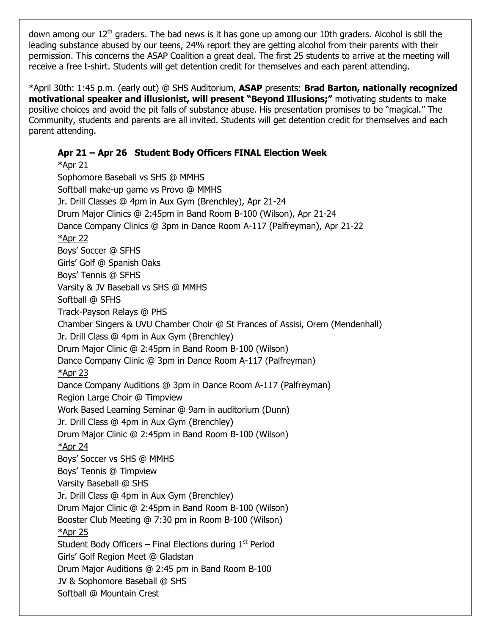down among our  $12<sup>th</sup>$  graders. The bad news is it has gone up among our 10th graders. Alcohol is still the leading substance abused by our teens, 24% report they are getting alcohol from their parents with their permission. This concerns the ASAP Coalition a great deal. The first 25 students to arrive at the meeting will receive a free t-shirt. Students will get detention credit for themselves and each parent attending.

\*April 30th: 1:45 p.m. (early out) @ SHS Auditorium, **ASAP** presents: **Brad Barton, nationally recognized motivational speaker and illusionist, will present "Beyond Illusions;"** motivating students to make positive choices and avoid the pit falls of substance abuse. His presentation promises to be "magical." The Community, students and parents are all invited. Students will get detention credit for themselves and each parent attending.

## **Apr 21 – Apr 26 Student Body Officers FINAL Election Week**

\*Apr 21 Sophomore Baseball vs SHS @ MMHS Softball make-up game vs Provo @ MMHS Jr. Drill Classes @ 4pm in Aux Gym (Brenchley), Apr 21-24 Drum Major Clinics @ 2:45pm in Band Room B-100 (Wilson), Apr 21-24 Dance Company Clinics @ 3pm in Dance Room A-117 (Palfreyman), Apr 21-22 \*Apr 22 Boys' Soccer @ SFHS Girls' Golf @ Spanish Oaks Boys' Tennis @ SFHS Varsity & JV Baseball vs SHS @ MMHS Softball @ SFHS Track-Payson Relays @ PHS Chamber Singers & UVU Chamber Choir @ St Frances of Assisi, Orem (Mendenhall) Jr. Drill Class @ 4pm in Aux Gym (Brenchley) Drum Major Clinic @ 2:45pm in Band Room B-100 (Wilson) Dance Company Clinic @ 3pm in Dance Room A-117 (Palfreyman) \*Apr 23 Dance Company Auditions @ 3pm in Dance Room A-117 (Palfreyman) Region Large Choir @ Timpview Work Based Learning Seminar @ 9am in auditorium (Dunn) Jr. Drill Class @ 4pm in Aux Gym (Brenchley) Drum Major Clinic @ 2:45pm in Band Room B-100 (Wilson) \*Apr 24 Boys' Soccer vs SHS @ MMHS Boys' Tennis @ Timpview Varsity Baseball @ SHS Jr. Drill Class @ 4pm in Aux Gym (Brenchley) Drum Major Clinic @ 2:45pm in Band Room B-100 (Wilson) Booster Club Meeting @ 7:30 pm in Room B-100 (Wilson) \*Apr 25 Student Body Officers – Final Elections during  $1<sup>st</sup>$  Period Girls' Golf Region Meet @ Gladstan Drum Major Auditions @ 2:45 pm in Band Room B-100 JV & Sophomore Baseball @ SHS Softball @ Mountain Crest